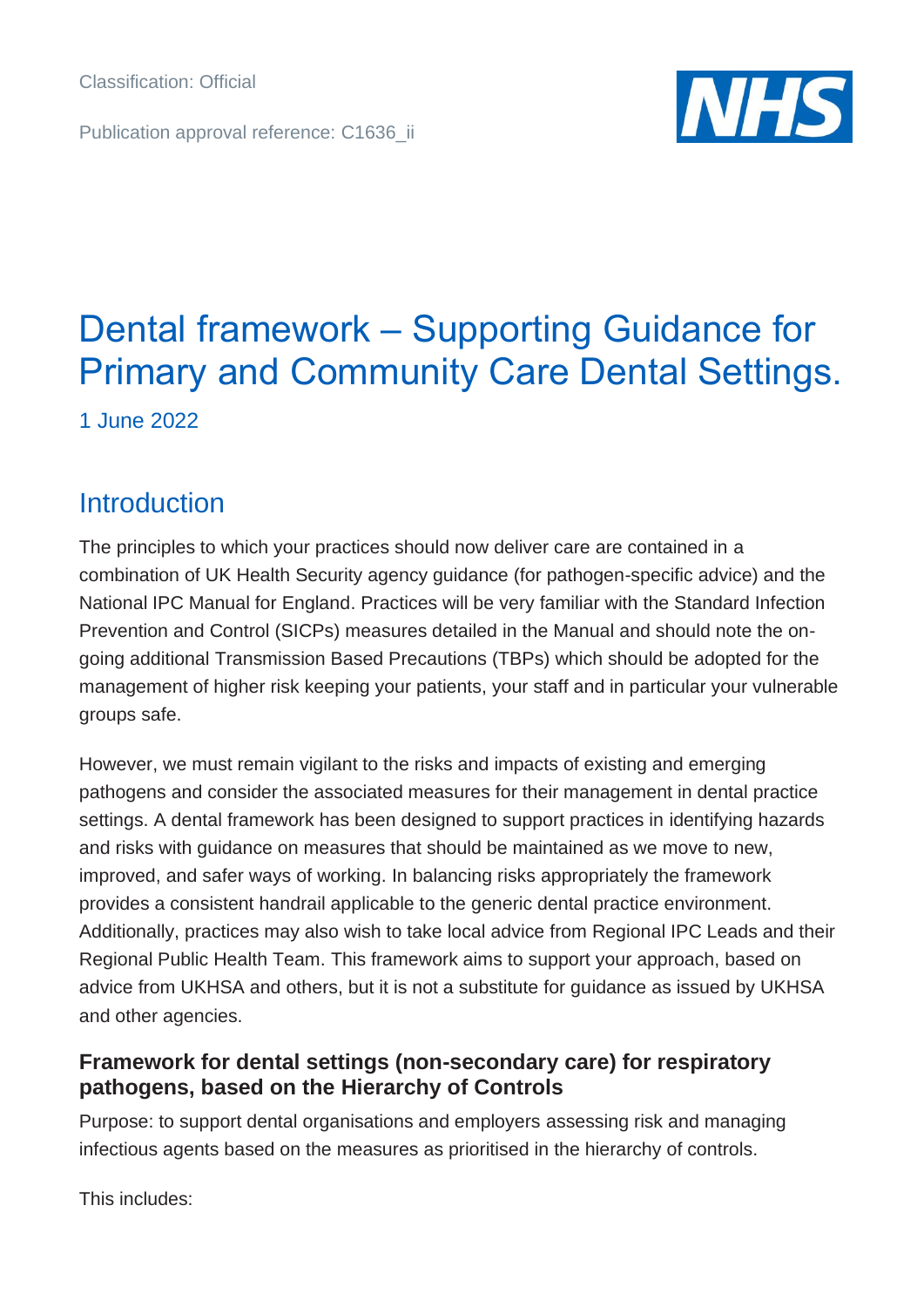Publication approval reference: C1636\_ii



## Dental framework – Supporting Guidance for Primary and Community Care Dental Settings.

1 June 2022

## **Introduction**

The principles to which your practices should now deliver care are contained in a combination of UK Health Security agency guidance (for pathogen-specific advice) and the National IPC Manual for England. Practices will be very familiar with the Standard Infection Prevention and Control (SICPs) measures detailed in the Manual and should note the ongoing additional Transmission Based Precautions (TBPs) which should be adopted for the management of higher risk keeping your patients, your staff and in particular your vulnerable groups safe.

However, we must remain vigilant to the risks and impacts of existing and emerging pathogens and consider the associated measures for their management in dental practice settings. A dental framework has been designed to support practices in identifying hazards and risks with guidance on measures that should be maintained as we move to new, improved, and safer ways of working. In balancing risks appropriately the framework provides a consistent handrail applicable to the generic dental practice environment. Additionally, practices may also wish to take local advice from Regional IPC Leads and their Regional Public Health Team. This framework aims to support your approach, based on advice from UKHSA and others, but it is not a substitute for guidance as issued by UKHSA and other agencies.

## **Framework for dental settings (non-secondary care) for respiratory pathogens, based on the Hierarchy of Controls**

Purpose: to support dental organisations and employers assessing risk and managing infectious agents based on the measures as prioritised in the hierarchy of controls.

This includes: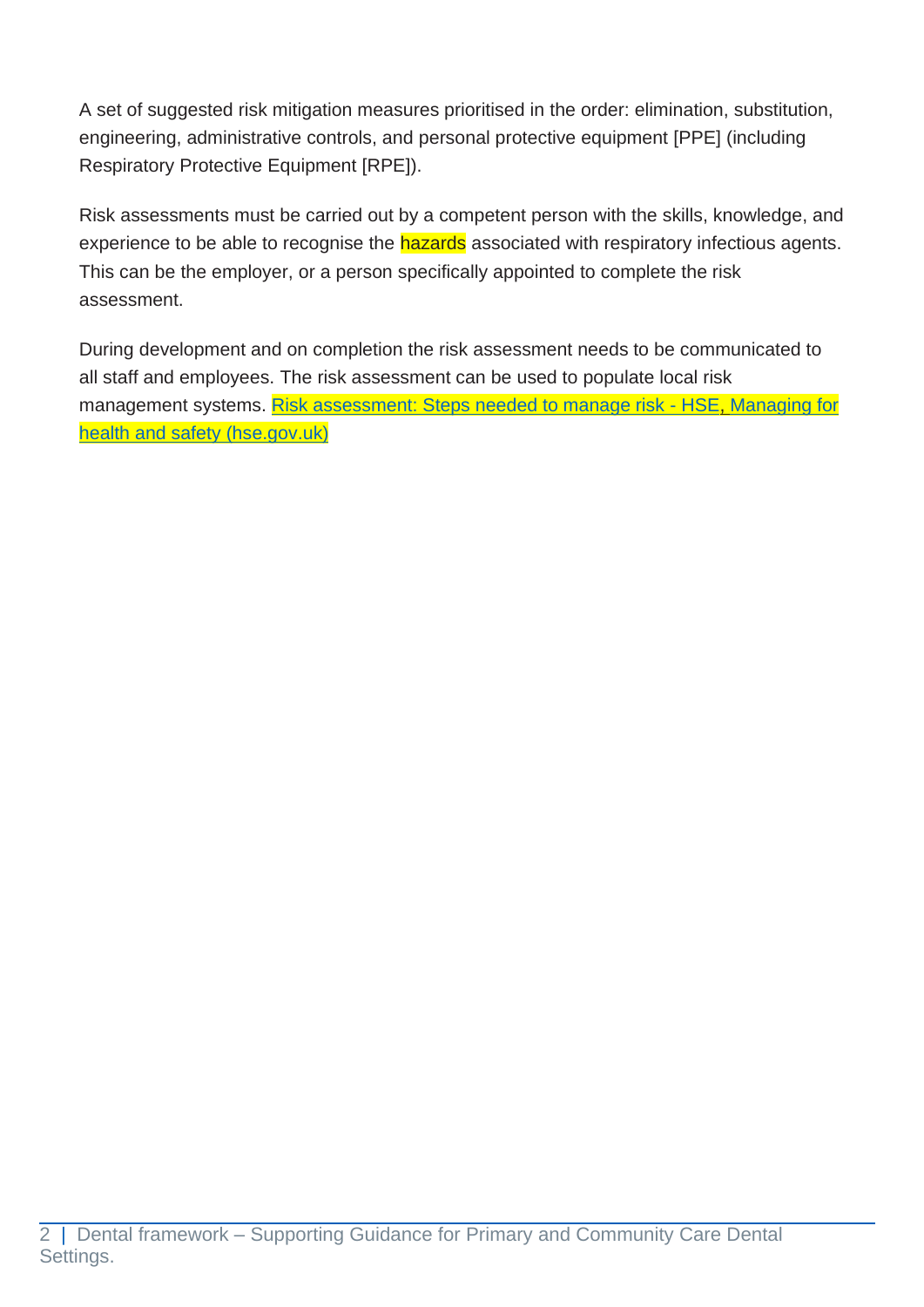A set of suggested risk mitigation measures prioritised in the order: elimination, substitution, engineering, administrative controls, and personal protective equipment [PPE] (including Respiratory Protective Equipment [RPE]).

Risk assessments must be carried out by a competent person with the skills, knowledge, and experience to be able to recognise the hazards associated with respiratory infectious agents. This can be the employer, or a person specifically appointed to complete the risk assessment.

During development and on completion the risk assessment needs to be communicated to all staff and employees. The risk assessment can be used to populate local risk management systems. [Risk assessment: Steps needed to manage risk -](https://www.hse.gov.uk/simple-health-safety/risk/steps-needed-to-manage-risk.htm) HSE, Managing for [health and safety \(hse.gov.uk\)](https://www.hse.gov.uk/pubns/priced/hsg65.pdf)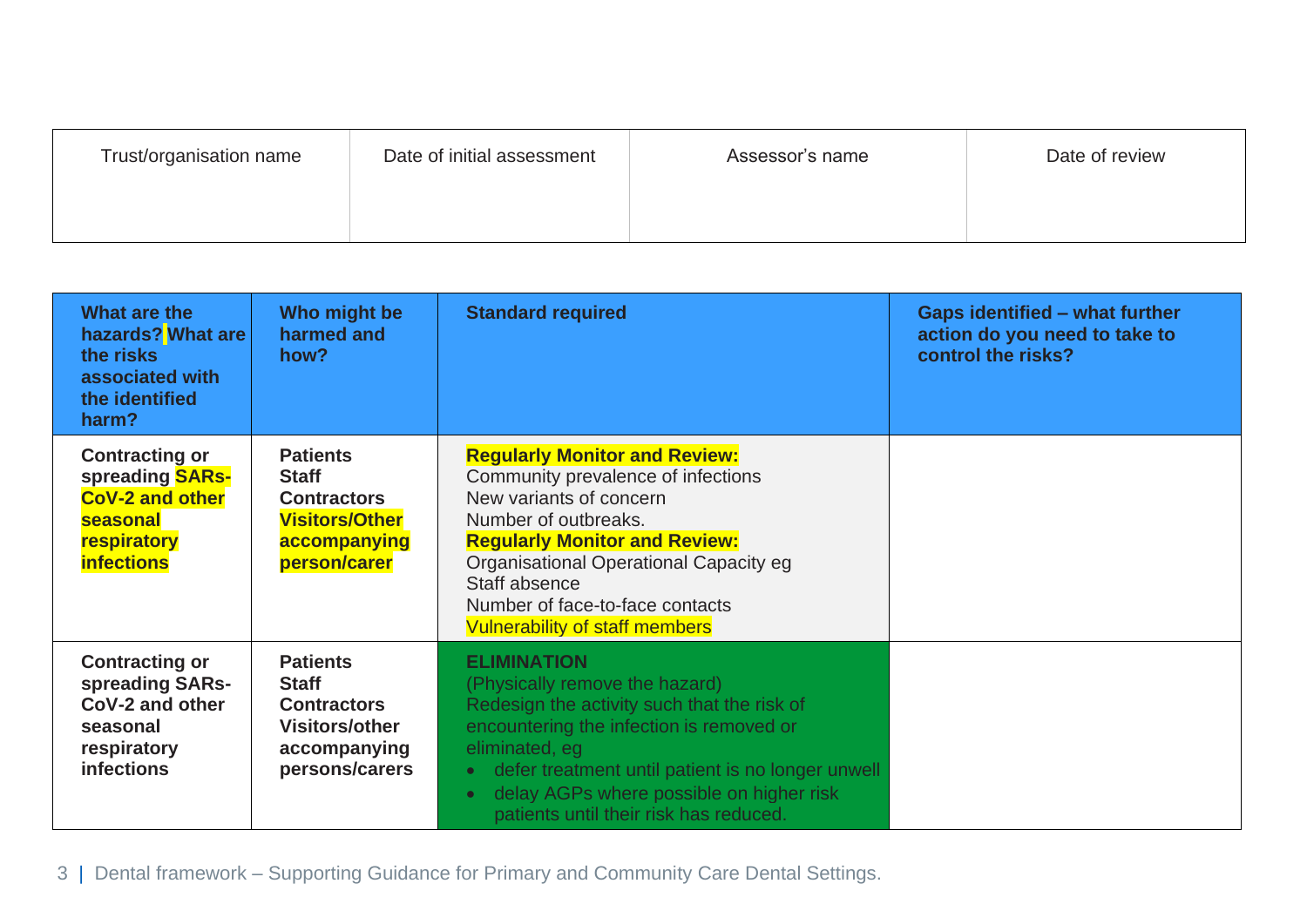| Trust/organisation name | Date of initial assessment | Assessor's name | Date of review |
|-------------------------|----------------------------|-----------------|----------------|
|                         |                            |                 |                |

| What are the<br>hazards? What are<br>the risks<br>associated with<br>the identified<br>harm?                              | Who might be<br>harmed and<br>how?                                                                               | <b>Standard required</b>                                                                                                                                                                                                                                                                                                  | <b>Gaps identified - what further</b><br>action do you need to take to<br>control the risks? |
|---------------------------------------------------------------------------------------------------------------------------|------------------------------------------------------------------------------------------------------------------|---------------------------------------------------------------------------------------------------------------------------------------------------------------------------------------------------------------------------------------------------------------------------------------------------------------------------|----------------------------------------------------------------------------------------------|
| <b>Contracting or</b><br>spreading <b>SARs-</b><br><b>CoV-2 and other</b><br>seasonal<br>respiratory<br><b>infections</b> | <b>Patients</b><br><b>Staff</b><br><b>Contractors</b><br><b>Visitors/Other</b><br>accompanying<br>person/carer   | <b>Regularly Monitor and Review:</b><br>Community prevalence of infections<br>New variants of concern<br>Number of outbreaks.<br><b>Regularly Monitor and Review:</b><br>Organisational Operational Capacity eg<br>Staff absence<br>Number of face-to-face contacts<br><b>Vulnerability of staff members</b>              |                                                                                              |
| <b>Contracting or</b><br>spreading SARs-<br>CoV-2 and other<br>seasonal<br>respiratory<br><b>infections</b>               | <b>Patients</b><br><b>Staff</b><br><b>Contractors</b><br><b>Visitors/other</b><br>accompanying<br>persons/carers | <b>ELIMINATION</b><br>(Physically remove the hazard)<br>Redesign the activity such that the risk of<br>encountering the infection is removed or<br>eliminated, eg<br>defer treatment until patient is no longer unwell<br>delay AGPs where possible on higher risk<br>$\bullet$<br>patients until their risk has reduced. |                                                                                              |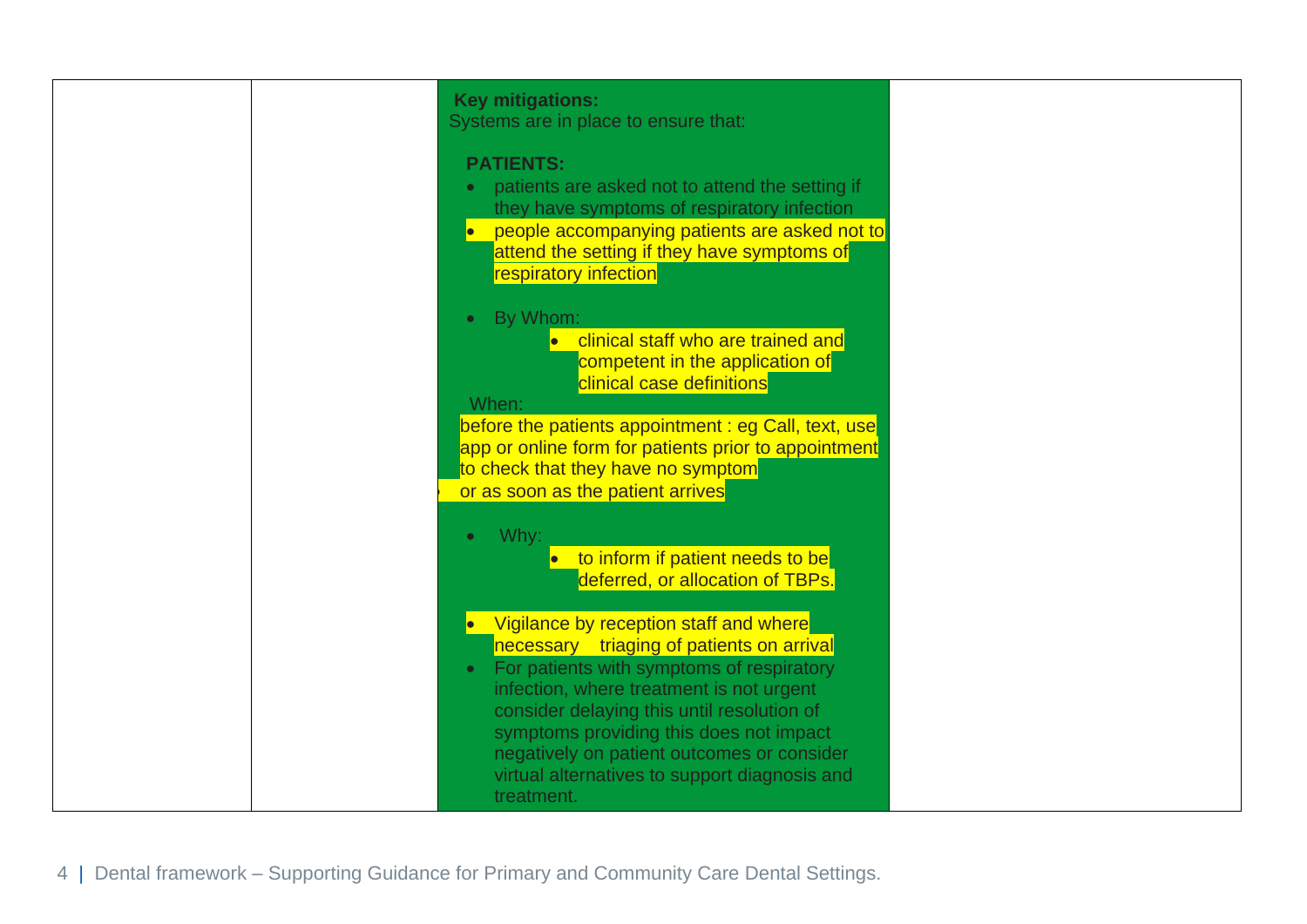| <b>Key mitigations:</b><br>Systems are in place to ensure that:<br><b>PATIENTS:</b><br>patients are asked not to attend the setting if<br>they have symptoms of respiratory infection<br>people accompanying patients are asked not to<br>attend the setting if they have symptoms of<br>respiratory infection<br>By Whom:<br>$\bullet$<br>clinical staff who are trained and<br>competent in the application of<br>clinical case definitions<br>When:<br>before the patients appointment: eg Call, text, use<br>app or online form for patients prior to appointment<br>to check that they have no symptom<br>or as soon as the patient arrives |  |
|--------------------------------------------------------------------------------------------------------------------------------------------------------------------------------------------------------------------------------------------------------------------------------------------------------------------------------------------------------------------------------------------------------------------------------------------------------------------------------------------------------------------------------------------------------------------------------------------------------------------------------------------------|--|
| Why:<br>$\bullet$<br>to inform if patient needs to be<br>deferred, or allocation of TBPs.<br>Vigilance by reception staff and where<br>$\bullet$<br>necessary triaging of patients on arrival<br>For patients with symptoms of respiratory<br>$\bullet$<br>infection, where treatment is not urgent<br>consider delaying this until resolution of<br>symptoms providing this does not impact<br>negatively on patient outcomes or consider<br>virtual alternatives to support diagnosis and<br>treatment.                                                                                                                                        |  |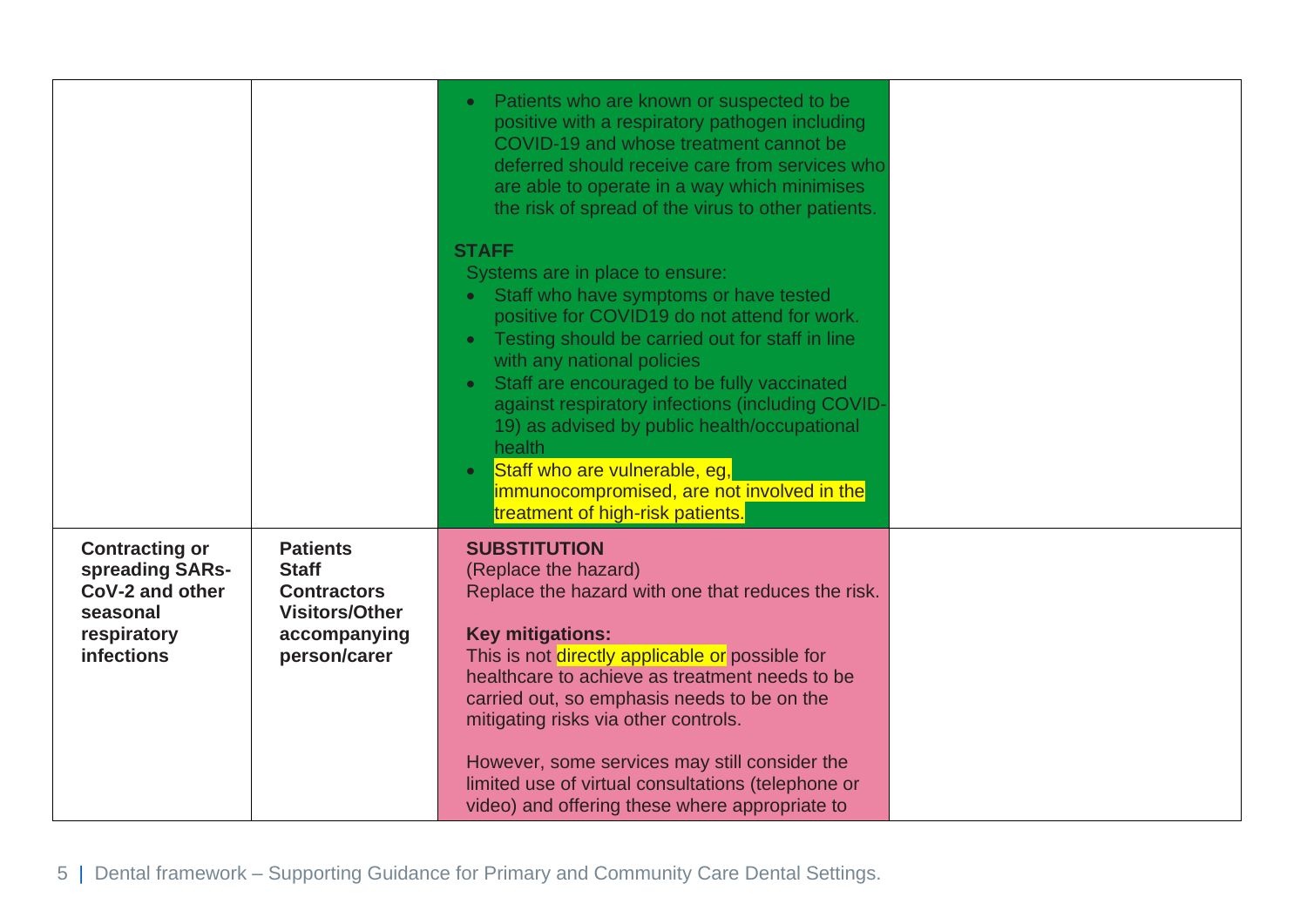|                                                                                                             |                                                                                                                | Patients who are known or suspected to be<br>$\bullet$<br>positive with a respiratory pathogen including<br>COVID-19 and whose treatment cannot be<br>deferred should receive care from services who<br>are able to operate in a way which minimises<br>the risk of spread of the virus to other patients.                                                                                                                                                                                                                                                     |  |
|-------------------------------------------------------------------------------------------------------------|----------------------------------------------------------------------------------------------------------------|----------------------------------------------------------------------------------------------------------------------------------------------------------------------------------------------------------------------------------------------------------------------------------------------------------------------------------------------------------------------------------------------------------------------------------------------------------------------------------------------------------------------------------------------------------------|--|
|                                                                                                             |                                                                                                                | <b>STAFF</b><br>Systems are in place to ensure:<br>Staff who have symptoms or have tested<br>$\bullet$<br>positive for COVID19 do not attend for work.<br>Testing should be carried out for staff in line<br>$\bullet$<br>with any national policies<br>Staff are encouraged to be fully vaccinated<br>$\bullet$<br>against respiratory infections (including COVID-<br>19) as advised by public health/occupational<br>health<br>Staff who are vulnerable, eg,<br>$\bullet$<br>immunocompromised, are not involved in the<br>treatment of high-risk patients. |  |
| <b>Contracting or</b><br>spreading SARs-<br>CoV-2 and other<br>seasonal<br>respiratory<br><b>infections</b> | <b>Patients</b><br><b>Staff</b><br><b>Contractors</b><br><b>Visitors/Other</b><br>accompanying<br>person/carer | <b>SUBSTITUTION</b><br>(Replace the hazard)<br>Replace the hazard with one that reduces the risk.<br><b>Key mitigations:</b><br>This is not directly applicable or possible for<br>healthcare to achieve as treatment needs to be<br>carried out, so emphasis needs to be on the<br>mitigating risks via other controls.<br>However, some services may still consider the<br>limited use of virtual consultations (telephone or<br>video) and offering these where appropriate to                                                                              |  |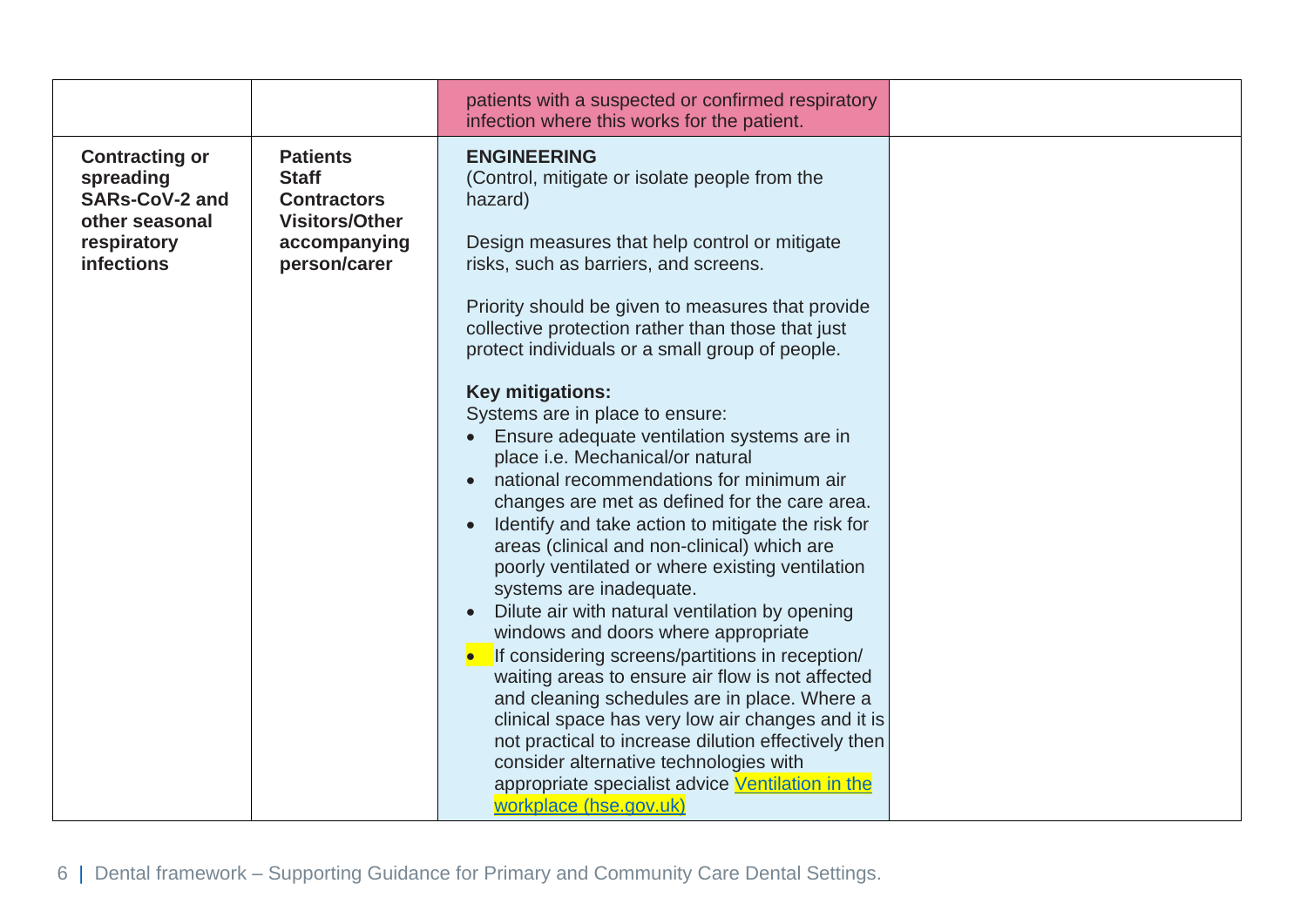|                                                                                                                   |                                                                                                                | patients with a suspected or confirmed respiratory<br>infection where this works for the patient.                                                                                                                                                                                                                                                                                                                                                                                                                                                                                                                                                                                                                                                                                                                                                                                                                                                                                                                                                                                                                                                                                                                                                                       |  |
|-------------------------------------------------------------------------------------------------------------------|----------------------------------------------------------------------------------------------------------------|-------------------------------------------------------------------------------------------------------------------------------------------------------------------------------------------------------------------------------------------------------------------------------------------------------------------------------------------------------------------------------------------------------------------------------------------------------------------------------------------------------------------------------------------------------------------------------------------------------------------------------------------------------------------------------------------------------------------------------------------------------------------------------------------------------------------------------------------------------------------------------------------------------------------------------------------------------------------------------------------------------------------------------------------------------------------------------------------------------------------------------------------------------------------------------------------------------------------------------------------------------------------------|--|
| <b>Contracting or</b><br>spreading<br><b>SARs-CoV-2 and</b><br>other seasonal<br>respiratory<br><b>infections</b> | <b>Patients</b><br><b>Staff</b><br><b>Contractors</b><br><b>Visitors/Other</b><br>accompanying<br>person/carer | <b>ENGINEERING</b><br>(Control, mitigate or isolate people from the<br>hazard)<br>Design measures that help control or mitigate<br>risks, such as barriers, and screens.<br>Priority should be given to measures that provide<br>collective protection rather than those that just<br>protect individuals or a small group of people.<br><b>Key mitigations:</b><br>Systems are in place to ensure:<br>• Ensure adequate ventilation systems are in<br>place i.e. Mechanical/or natural<br>national recommendations for minimum air<br>$\bullet$<br>changes are met as defined for the care area.<br>Identify and take action to mitigate the risk for<br>areas (clinical and non-clinical) which are<br>poorly ventilated or where existing ventilation<br>systems are inadequate.<br>Dilute air with natural ventilation by opening<br>windows and doors where appropriate<br>If considering screens/partitions in reception/<br>waiting areas to ensure air flow is not affected<br>and cleaning schedules are in place. Where a<br>clinical space has very low air changes and it is<br>not practical to increase dilution effectively then<br>consider alternative technologies with<br>appropriate specialist advice Ventilation in the<br>workplace (hse.gov.uk) |  |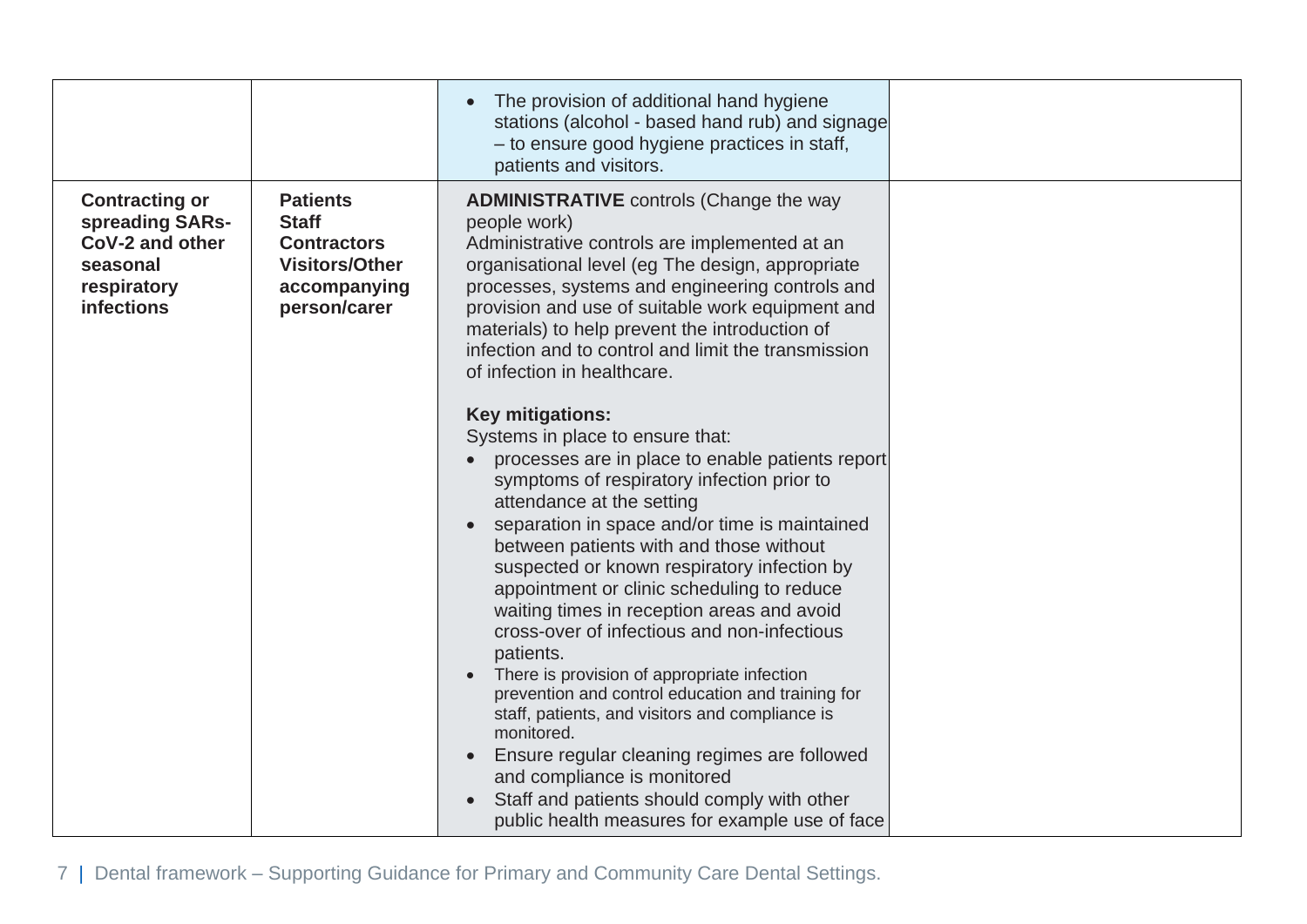|                                                                                                             |                                                                                                                | The provision of additional hand hygiene<br>stations (alcohol - based hand rub) and signage<br>- to ensure good hygiene practices in staff,<br>patients and visitors.                                                                                                                                                                                                                                                                                                                                                                                                                                                                                                                                                                                                                                                                                                                                                                                                                                                                                                                                                                                                                                                                                                    |  |
|-------------------------------------------------------------------------------------------------------------|----------------------------------------------------------------------------------------------------------------|--------------------------------------------------------------------------------------------------------------------------------------------------------------------------------------------------------------------------------------------------------------------------------------------------------------------------------------------------------------------------------------------------------------------------------------------------------------------------------------------------------------------------------------------------------------------------------------------------------------------------------------------------------------------------------------------------------------------------------------------------------------------------------------------------------------------------------------------------------------------------------------------------------------------------------------------------------------------------------------------------------------------------------------------------------------------------------------------------------------------------------------------------------------------------------------------------------------------------------------------------------------------------|--|
| <b>Contracting or</b><br>spreading SARs-<br>CoV-2 and other<br>seasonal<br>respiratory<br><b>infections</b> | <b>Patients</b><br><b>Staff</b><br><b>Contractors</b><br><b>Visitors/Other</b><br>accompanying<br>person/carer | <b>ADMINISTRATIVE</b> controls (Change the way<br>people work)<br>Administrative controls are implemented at an<br>organisational level (eg The design, appropriate<br>processes, systems and engineering controls and<br>provision and use of suitable work equipment and<br>materials) to help prevent the introduction of<br>infection and to control and limit the transmission<br>of infection in healthcare.<br><b>Key mitigations:</b><br>Systems in place to ensure that:<br>processes are in place to enable patients report<br>symptoms of respiratory infection prior to<br>attendance at the setting<br>separation in space and/or time is maintained<br>between patients with and those without<br>suspected or known respiratory infection by<br>appointment or clinic scheduling to reduce<br>waiting times in reception areas and avoid<br>cross-over of infectious and non-infectious<br>patients.<br>There is provision of appropriate infection<br>prevention and control education and training for<br>staff, patients, and visitors and compliance is<br>monitored.<br>Ensure regular cleaning regimes are followed<br>and compliance is monitored<br>Staff and patients should comply with other<br>public health measures for example use of face |  |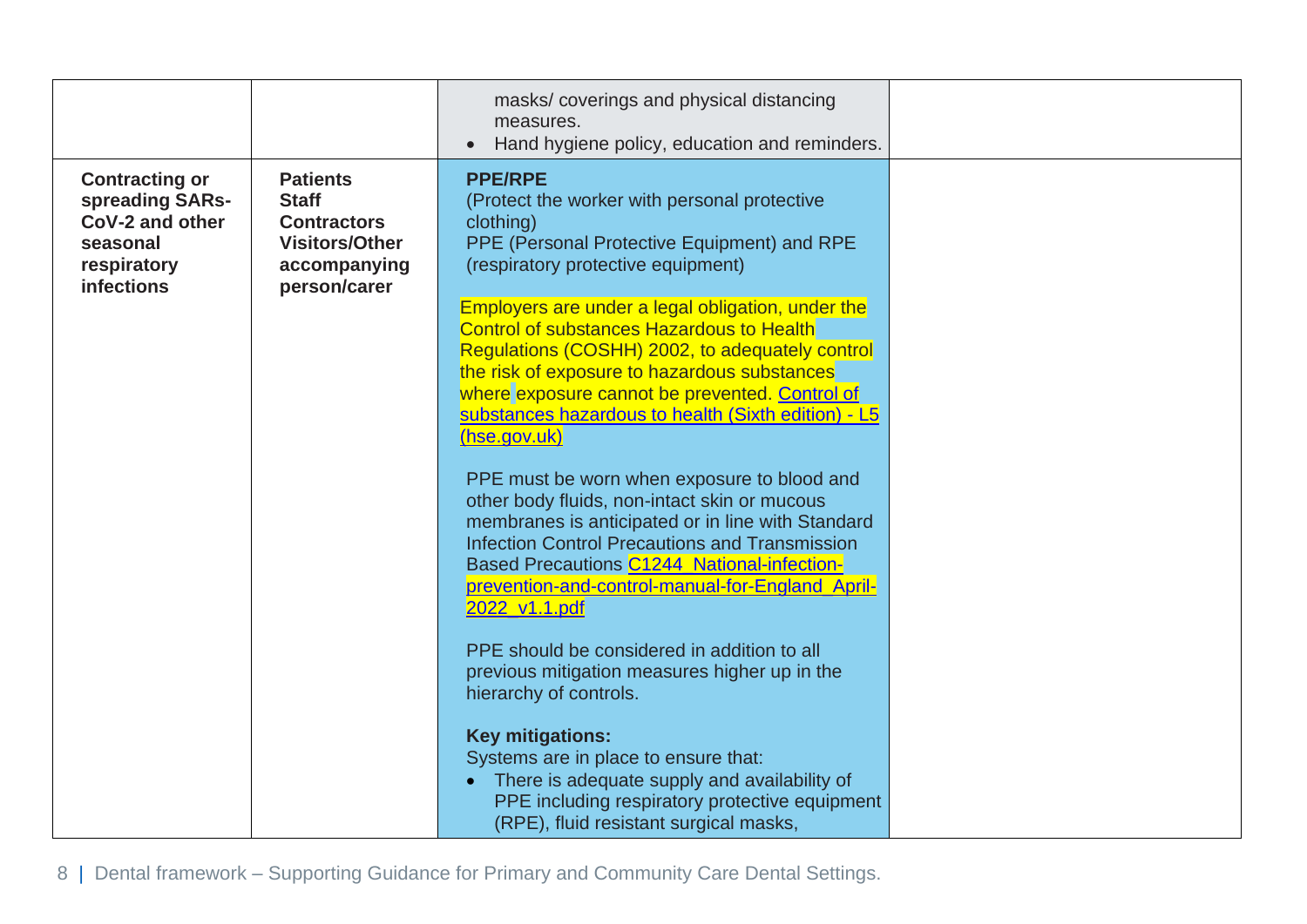|                                                                                                             |                                                                                                                | masks/coverings and physical distancing<br>measures.<br>Hand hygiene policy, education and reminders.<br>$\bullet$                                                                                                                                                                                                                |  |
|-------------------------------------------------------------------------------------------------------------|----------------------------------------------------------------------------------------------------------------|-----------------------------------------------------------------------------------------------------------------------------------------------------------------------------------------------------------------------------------------------------------------------------------------------------------------------------------|--|
| <b>Contracting or</b><br>spreading SARs-<br>CoV-2 and other<br>seasonal<br>respiratory<br><b>infections</b> | <b>Patients</b><br><b>Staff</b><br><b>Contractors</b><br><b>Visitors/Other</b><br>accompanying<br>person/carer | <b>PPE/RPE</b><br>(Protect the worker with personal protective<br>clothing)<br>PPE (Personal Protective Equipment) and RPE<br>(respiratory protective equipment)                                                                                                                                                                  |  |
|                                                                                                             |                                                                                                                | Employers are under a legal obligation, under the<br><b>Control of substances Hazardous to Health</b><br>Regulations (COSHH) 2002, to adequately control<br>the risk of exposure to hazardous substances<br>where exposure cannot be prevented. Control of<br>substances hazardous to health (Sixth edition) - L5<br>(hse.gov.uk) |  |
|                                                                                                             |                                                                                                                | PPE must be worn when exposure to blood and<br>other body fluids, non-intact skin or mucous<br>membranes is anticipated or in line with Standard<br><b>Infection Control Precautions and Transmission</b><br>Based Precautions C1244 National-infection-<br>prevention-and-control-manual-for-England_April-<br>2022 v1.1.pdf     |  |
|                                                                                                             |                                                                                                                | PPE should be considered in addition to all<br>previous mitigation measures higher up in the<br>hierarchy of controls.                                                                                                                                                                                                            |  |
|                                                                                                             |                                                                                                                | <b>Key mitigations:</b><br>Systems are in place to ensure that:<br>• There is adequate supply and availability of<br>PPE including respiratory protective equipment<br>(RPE), fluid resistant surgical masks,                                                                                                                     |  |